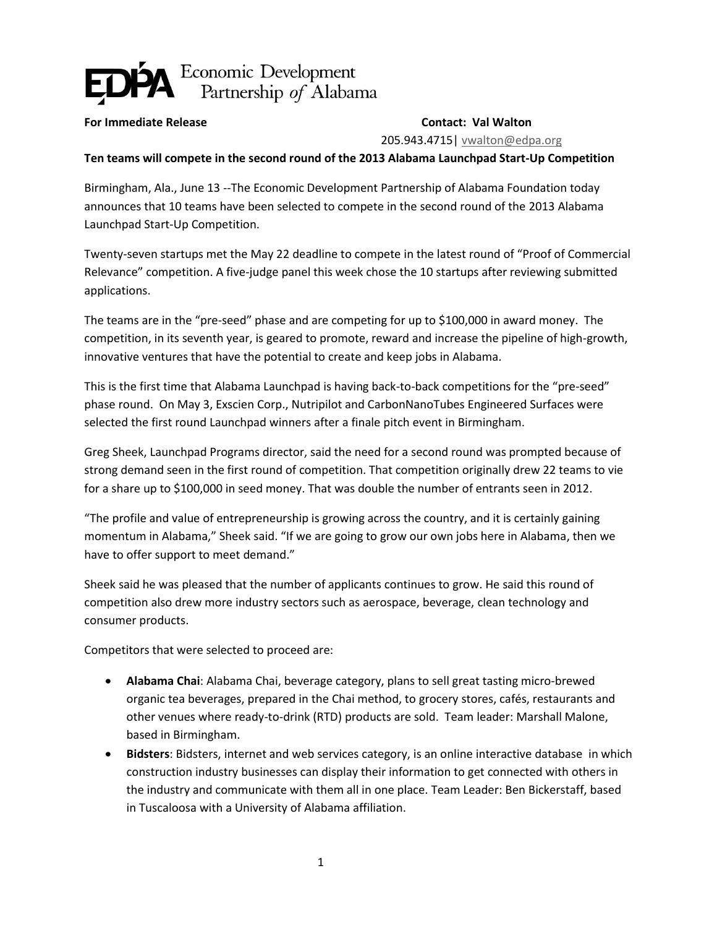## Economic Development<br>Partnership of Alabama

## **For Immediate Release Contact: Val Walton**

205.943.4715| [vwalton@edpa.org](mailto:vwalton@edpa.org)

**Ten teams will compete in the second round of the 2013 Alabama Launchpad Start-Up Competition**

Birmingham, Ala., June 13 --The Economic Development Partnership of Alabama Foundation today announces that 10 teams have been selected to compete in the second round of the 2013 Alabama Launchpad Start-Up Competition.

Twenty-seven startups met the May 22 deadline to compete in the latest round of "Proof of Commercial Relevance" competition. A five-judge panel this week chose the 10 startups after reviewing submitted applications.

The teams are in the "pre-seed" phase and are competing for up to \$100,000 in award money. The competition, in its seventh year, is geared to promote, reward and increase the pipeline of high-growth, innovative ventures that have the potential to create and keep jobs in Alabama.

This is the first time that Alabama Launchpad is having back-to-back competitions for the "pre-seed" phase round. On May 3, Exscien Corp., Nutripilot and CarbonNanoTubes Engineered Surfaces were selected the first round Launchpad winners after a finale pitch event in Birmingham.

Greg Sheek, Launchpad Programs director, said the need for a second round was prompted because of strong demand seen in the first round of competition. That competition originally drew 22 teams to vie for a share up to \$100,000 in seed money. That was double the number of entrants seen in 2012.

"The profile and value of entrepreneurship is growing across the country, and it is certainly gaining momentum in Alabama," Sheek said. "If we are going to grow our own jobs here in Alabama, then we have to offer support to meet demand."

Sheek said he was pleased that the number of applicants continues to grow. He said this round of competition also drew more industry sectors such as aerospace, beverage, clean technology and consumer products.

Competitors that were selected to proceed are:

- **Alabama Chai**: Alabama Chai, beverage category, plans to sell great tasting micro-brewed organic tea beverages, prepared in the Chai method, to grocery stores, cafés, restaurants and other venues where ready-to-drink (RTD) products are sold. Team leader: Marshall Malone, based in Birmingham.
- **Bidsters**: Bidsters, internet and web services category, is an online interactive database in which construction industry businesses can display their information to get connected with others in the industry and communicate with them all in one place. Team Leader: Ben Bickerstaff, based in Tuscaloosa with a University of Alabama affiliation.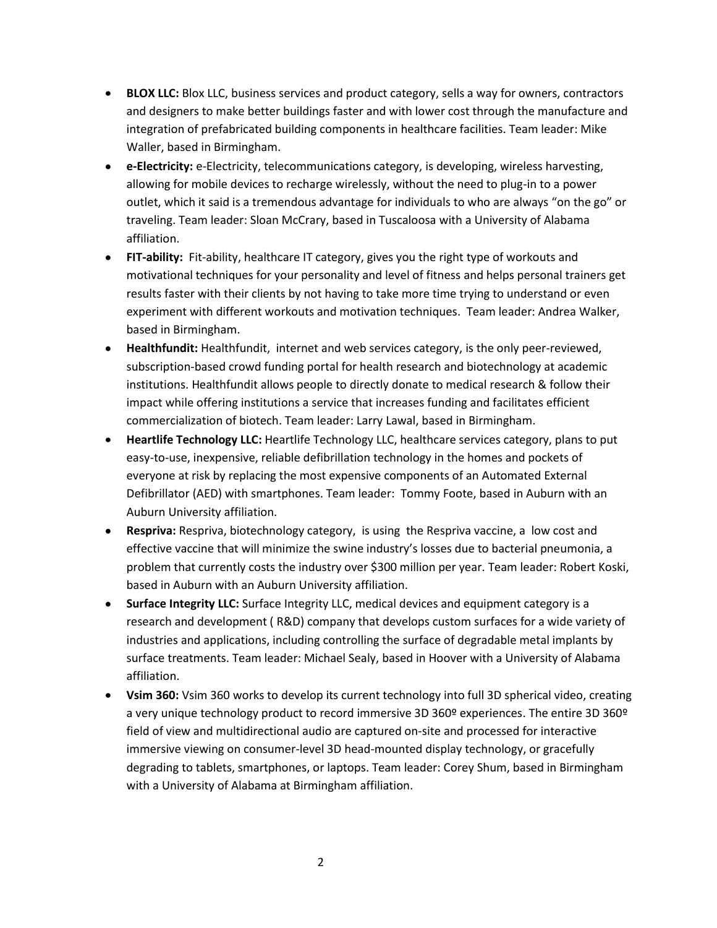- **BLOX LLC:** Blox LLC, business services and product category, sells a way for owners, contractors and designers to make better buildings faster and with lower cost through the manufacture and integration of prefabricated building components in healthcare facilities. Team leader: Mike Waller, based in Birmingham.
- **e-Electricity:** e-Electricity, telecommunications category, is developing, wireless harvesting, allowing for mobile devices to recharge wirelessly, without the need to plug-in to a power outlet, which it said is a tremendous advantage for individuals to who are always "on the go" or traveling. Team leader: Sloan McCrary, based in Tuscaloosa with a University of Alabama affiliation.
- **FIT-ability:** Fit-ability, healthcare IT category, gives you the right type of workouts and motivational techniques for your personality and level of fitness and helps personal trainers get results faster with their clients by not having to take more time trying to understand or even experiment with different workouts and motivation techniques. Team leader: Andrea Walker, based in Birmingham.
- **Healthfundit:** Healthfundit, internet and web services category, is the only peer-reviewed, subscription-based crowd funding portal for health research and biotechnology at academic institutions. Healthfundit allows people to directly donate to medical research & follow their impact while offering institutions a service that increases funding and facilitates efficient commercialization of biotech. Team leader: Larry Lawal, based in Birmingham.
- **Heartlife Technology LLC:** Heartlife Technology LLC, healthcare services category, plans to put easy-to-use, inexpensive, reliable defibrillation technology in the homes and pockets of everyone at risk by replacing the most expensive components of an Automated External Defibrillator (AED) with smartphones. Team leader: Tommy Foote, based in Auburn with an Auburn University affiliation.
- **Respriva:** Respriva, biotechnology category, is using the Respriva vaccine, a low cost and effective vaccine that will minimize the swine industry's losses due to bacterial pneumonia, a problem that currently costs the industry over \$300 million per year. Team leader: Robert Koski, based in Auburn with an Auburn University affiliation.
- **Surface Integrity LLC:** Surface Integrity LLC, medical devices and equipment category is a research and development ( R&D) company that develops custom surfaces for a wide variety of industries and applications, including controlling the surface of degradable metal implants by surface treatments. Team leader: Michael Sealy, based in Hoover with a University of Alabama affiliation.
- **Vsim 360:** Vsim 360 works to develop its current technology into full 3D spherical video, creating a very unique technology product to record immersive 3D 360º experiences. The entire 3D 360º field of view and multidirectional audio are captured on-site and processed for interactive immersive viewing on consumer-level 3D head-mounted display technology, or gracefully degrading to tablets, smartphones, or laptops. Team leader: Corey Shum, based in Birmingham with a University of Alabama at Birmingham affiliation.